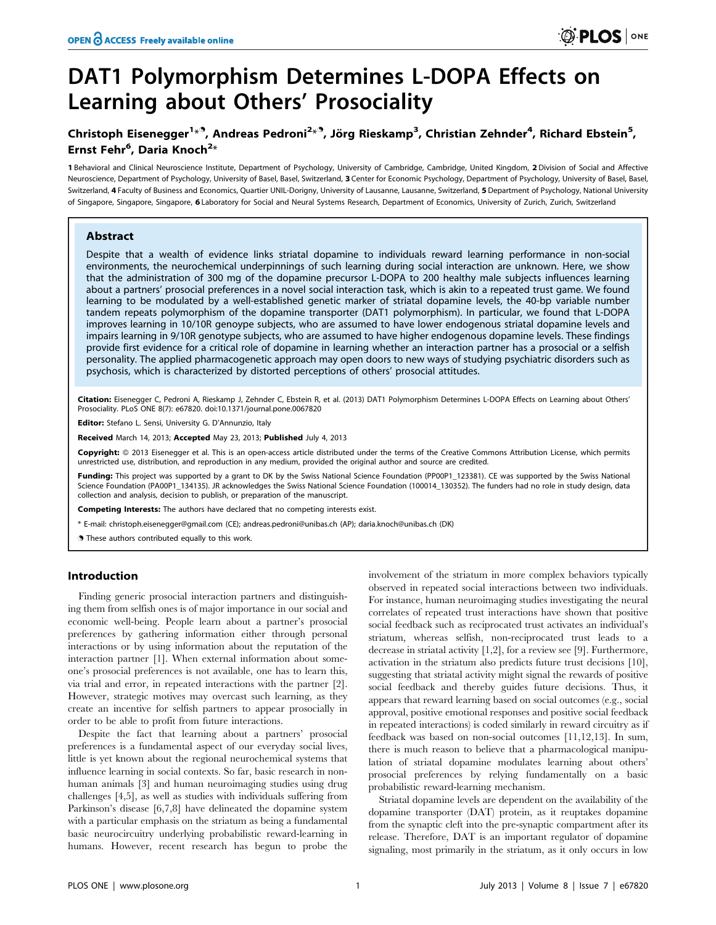# DAT1 Polymorphism Determines L-DOPA Effects on Learning about Others' Prosociality

## Christoph Eisenegger<sup>1<sub>\*</sub>9</sup>, Andreas Pedroni<sup>2</sup>\*<sup>9</sup>, Jörg Rieskamp<sup>3</sup>, Christian Zehnder<sup>4</sup>, Richard Ebstein<sup>5</sup>, Ernst Fehr<sup>6</sup>, Daria Knoch<sup>2</sup>\*

1 Behavioral and Clinical Neuroscience Institute, Department of Psychology, University of Cambridge, Cambridge, United Kingdom, 2 Division of Social and Affective Neuroscience, Department of Psychology, University of Basel, Basel, Switzerland, 3 Center for Economic Psychology, Department of Psychology, University of Basel, Basel, Switzerland, 4 Faculty of Business and Economics, Quartier UNIL-Dorigny, University of Lausanne, Lausanne, Switzerland, 5 Department of Psychology, National University of Singapore, Singapore, Singapore, 6 Laboratory for Social and Neural Systems Research, Department of Economics, University of Zurich, Zurich, Switzerland

## Abstract

Despite that a wealth of evidence links striatal dopamine to individuals reward learning performance in non-social environments, the neurochemical underpinnings of such learning during social interaction are unknown. Here, we show that the administration of 300 mg of the dopamine precursor L-DOPA to 200 healthy male subjects influences learning about a partners' prosocial preferences in a novel social interaction task, which is akin to a repeated trust game. We found learning to be modulated by a well-established genetic marker of striatal dopamine levels, the 40-bp variable number tandem repeats polymorphism of the dopamine transporter (DAT1 polymorphism). In particular, we found that L-DOPA improves learning in 10/10R genoype subjects, who are assumed to have lower endogenous striatal dopamine levels and impairs learning in 9/10R genotype subjects, who are assumed to have higher endogenous dopamine levels. These findings provide first evidence for a critical role of dopamine in learning whether an interaction partner has a prosocial or a selfish personality. The applied pharmacogenetic approach may open doors to new ways of studying psychiatric disorders such as psychosis, which is characterized by distorted perceptions of others' prosocial attitudes.

Citation: Eisenegger C, Pedroni A, Rieskamp J, Zehnder C, Ebstein R, et al. (2013) DAT1 Polymorphism Determines L-DOPA Effects on Learning about Others' Prosociality. PLoS ONE 8(7): e67820. doi:10.1371/journal.pone.0067820

Editor: Stefano L. Sensi, University G. D'Annunzio, Italy

Received March 14, 2013; Accepted May 23, 2013; Published July 4, 2013

Copyright: © 2013 Eisenegger et al. This is an open-access article distributed under the terms of the Creative Commons Attribution License, which permits unrestricted use, distribution, and reproduction in any medium, provided the original author and source are credited.

Funding: This project was supported by a grant to DK by the Swiss National Science Foundation (PP00P1\_123381). CE was supported by the Swiss National Science Foundation (PA00P1\_134135). JR acknowledges the Swiss National Science Foundation (100014\_130352). The funders had no role in study design, data collection and analysis, decision to publish, or preparation of the manuscript.

Competing Interests: The authors have declared that no competing interests exist.

\* E-mail: christoph.eisenegger@gmail.com (CE); andreas.pedroni@unibas.ch (AP); daria.knoch@unibas.ch (DK)

. These authors contributed equally to this work.

## Introduction

Finding generic prosocial interaction partners and distinguishing them from selfish ones is of major importance in our social and economic well-being. People learn about a partner's prosocial preferences by gathering information either through personal interactions or by using information about the reputation of the interaction partner [1]. When external information about someone's prosocial preferences is not available, one has to learn this, via trial and error, in repeated interactions with the partner [2]. However, strategic motives may overcast such learning, as they create an incentive for selfish partners to appear prosocially in order to be able to profit from future interactions.

Despite the fact that learning about a partners' prosocial preferences is a fundamental aspect of our everyday social lives, little is yet known about the regional neurochemical systems that influence learning in social contexts. So far, basic research in nonhuman animals [3] and human neuroimaging studies using drug challenges [4,5], as well as studies with individuals suffering from Parkinson's disease [6,7,8] have delineated the dopamine system with a particular emphasis on the striatum as being a fundamental basic neurocircuitry underlying probabilistic reward-learning in humans. However, recent research has begun to probe the

involvement of the striatum in more complex behaviors typically observed in repeated social interactions between two individuals. For instance, human neuroimaging studies investigating the neural correlates of repeated trust interactions have shown that positive social feedback such as reciprocated trust activates an individual's striatum, whereas selfish, non-reciprocated trust leads to a decrease in striatal activity [1,2], for a review see [9]. Furthermore, activation in the striatum also predicts future trust decisions [10], suggesting that striatal activity might signal the rewards of positive social feedback and thereby guides future decisions. Thus, it appears that reward learning based on social outcomes (e.g., social approval, positive emotional responses and positive social feedback in repeated interactions) is coded similarly in reward circuitry as if feedback was based on non-social outcomes [11,12,13]. In sum, there is much reason to believe that a pharmacological manipulation of striatal dopamine modulates learning about others' prosocial preferences by relying fundamentally on a basic probabilistic reward-learning mechanism.

Striatal dopamine levels are dependent on the availability of the dopamine transporter (DAT) protein, as it reuptakes dopamine from the synaptic cleft into the pre-synaptic compartment after its release. Therefore, DAT is an important regulator of dopamine signaling, most primarily in the striatum, as it only occurs in low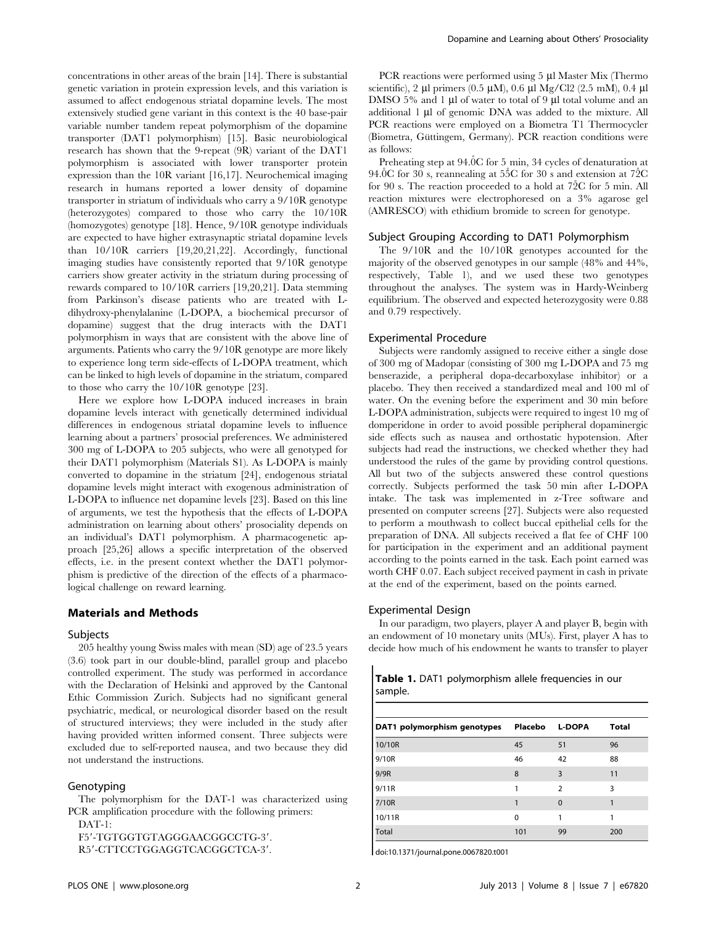concentrations in other areas of the brain [14]. There is substantial genetic variation in protein expression levels, and this variation is assumed to affect endogenous striatal dopamine levels. The most extensively studied gene variant in this context is the 40 base-pair variable number tandem repeat polymorphism of the dopamine transporter (DAT1 polymorphism) [15]. Basic neurobiological research has shown that the 9-repeat (9R) variant of the DAT1 polymorphism is associated with lower transporter protein expression than the 10R variant [16,17]. Neurochemical imaging research in humans reported a lower density of dopamine transporter in striatum of individuals who carry a 9/10R genotype (heterozygotes) compared to those who carry the 10/10R (homozygotes) genotype [18]. Hence, 9/10R genotype individuals are expected to have higher extrasynaptic striatal dopamine levels than 10/10R carriers [19,20,21,22]. Accordingly, functional imaging studies have consistently reported that 9/10R genotype carriers show greater activity in the striatum during processing of rewards compared to 10/10R carriers [19,20,21]. Data stemming from Parkinson's disease patients who are treated with Ldihydroxy-phenylalanine (L-DOPA, a biochemical precursor of dopamine) suggest that the drug interacts with the DAT1 polymorphism in ways that are consistent with the above line of arguments. Patients who carry the 9/10R genotype are more likely to experience long term side-effects of L-DOPA treatment, which can be linked to high levels of dopamine in the striatum, compared to those who carry the 10/10R genotype [23].

Here we explore how L-DOPA induced increases in brain dopamine levels interact with genetically determined individual differences in endogenous striatal dopamine levels to influence learning about a partners' prosocial preferences. We administered 300 mg of L-DOPA to 205 subjects, who were all genotyped for their DAT1 polymorphism (Materials S1). As L-DOPA is mainly converted to dopamine in the striatum [24], endogenous striatal dopamine levels might interact with exogenous administration of L-DOPA to influence net dopamine levels [23]. Based on this line of arguments, we test the hypothesis that the effects of L-DOPA administration on learning about others' prosociality depends on an individual's DAT1 polymorphism. A pharmacogenetic approach [25,26] allows a specific interpretation of the observed effects, i.e. in the present context whether the DAT1 polymorphism is predictive of the direction of the effects of a pharmacological challenge on reward learning.

## Materials and Methods

## Subjects

205 healthy young Swiss males with mean (SD) age of 23.5 years (3.6) took part in our double-blind, parallel group and placebo controlled experiment. The study was performed in accordance with the Declaration of Helsinki and approved by the Cantonal Ethic Commission Zurich. Subjects had no significant general psychiatric, medical, or neurological disorder based on the result of structured interviews; they were included in the study after having provided written informed consent. Three subjects were excluded due to self-reported nausea, and two because they did not understand the instructions.

## Genotyping

The polymorphism for the DAT-1 was characterized using PCR amplification procedure with the following primers:  $DATAT-1$ 

F5'-TGTGGTGTAGGGAACGGCCTG-3'. R5'-CTTCCTGGAGGTCACGGCTCA-3'.

PCR reactions were performed using  $5 \mu l$  Master Mix (Thermo scientific), 2 µl primers (0.5 µM), 0.6 µl Mg/Cl2 (2.5 mM), 0.4 µl DMSO 5% and 1 µl of water to total of 9 µl total volume and an additional 1 µl of genomic DNA was added to the mixture. All PCR reactions were employed on a Biometra T1 Thermocycler (Biometra, Güttingem, Germany). PCR reaction conditions were as follows:

Preheating step at 94.0°C for 5 min, 34 cycles of denaturation at 94.0 $C$  for 30 s, reannealing at 55 $C$  for 30 s and extension at 72 $C$ for 90 s. The reaction proceeded to a hold at  $72C$  for 5 min. All reaction mixtures were electrophoresed on a 3% agarose gel (AMRESCO) with ethidium bromide to screen for genotype.

## Subject Grouping According to DAT1 Polymorphism

The 9/10R and the 10/10R genotypes accounted for the majority of the observed genotypes in our sample (48% and 44%, respectively, Table 1), and we used these two genotypes throughout the analyses. The system was in Hardy-Weinberg equilibrium. The observed and expected heterozygosity were 0.88 and 0.79 respectively.

#### Experimental Procedure

Subjects were randomly assigned to receive either a single dose of 300 mg of Madopar (consisting of 300 mg L-DOPA and 75 mg benserazide, a peripheral dopa-decarboxylase inhibitor) or a placebo. They then received a standardized meal and 100 ml of water. On the evening before the experiment and 30 min before L-DOPA administration, subjects were required to ingest 10 mg of domperidone in order to avoid possible peripheral dopaminergic side effects such as nausea and orthostatic hypotension. After subjects had read the instructions, we checked whether they had understood the rules of the game by providing control questions. All but two of the subjects answered these control questions correctly. Subjects performed the task 50 min after L-DOPA intake. The task was implemented in z-Tree software and presented on computer screens [27]. Subjects were also requested to perform a mouthwash to collect buccal epithelial cells for the preparation of DNA. All subjects received a flat fee of CHF 100 for participation in the experiment and an additional payment according to the points earned in the task. Each point earned was worth CHF 0.07. Each subject received payment in cash in private at the end of the experiment, based on the points earned.

## Experimental Design

In our paradigm, two players, player A and player B, begin with an endowment of 10 monetary units (MUs). First, player A has to decide how much of his endowment he wants to transfer to player

| Table 1. DAT1 polymorphism allele frequencies in our |  |  |  |
|------------------------------------------------------|--|--|--|
| sample.                                              |  |  |  |

| DAT1 polymorphism genotypes | Placebo | L-DOPA         | <b>Total</b> |
|-----------------------------|---------|----------------|--------------|
| 10/10R                      | 45      | 51             | 96           |
| 9/10R                       | 46      | 42             | 88           |
| 9/9R                        | 8       | 3              | 11           |
| 9/11R                       |         | $\overline{2}$ | 3            |
| 7/10R                       |         | $\Omega$       |              |
| 10/11R                      | 0       |                |              |
| <b>Total</b>                | 101     | 99             | 200          |

doi:10.1371/journal.pone.0067820.t001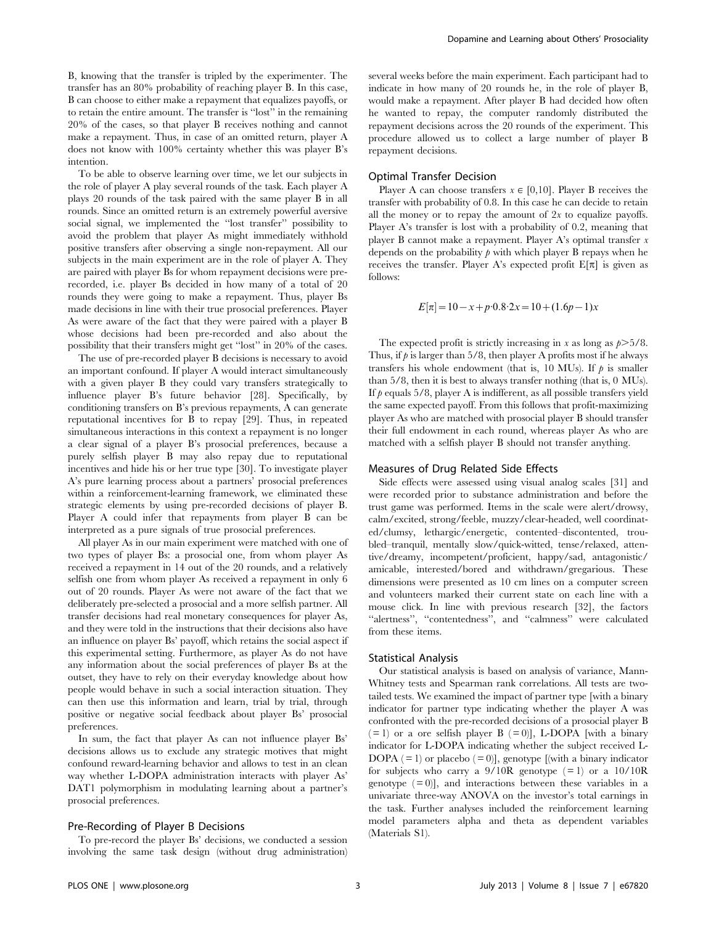B, knowing that the transfer is tripled by the experimenter. The transfer has an 80% probability of reaching player B. In this case, B can choose to either make a repayment that equalizes payoffs, or to retain the entire amount. The transfer is ''lost'' in the remaining 20% of the cases, so that player B receives nothing and cannot make a repayment. Thus, in case of an omitted return, player A does not know with 100% certainty whether this was player B's intention.

To be able to observe learning over time, we let our subjects in the role of player A play several rounds of the task. Each player A plays 20 rounds of the task paired with the same player B in all rounds. Since an omitted return is an extremely powerful aversive social signal, we implemented the ''lost transfer'' possibility to avoid the problem that player As might immediately withhold positive transfers after observing a single non-repayment. All our subjects in the main experiment are in the role of player A. They are paired with player Bs for whom repayment decisions were prerecorded, i.e. player Bs decided in how many of a total of 20 rounds they were going to make a repayment. Thus, player Bs made decisions in line with their true prosocial preferences. Player As were aware of the fact that they were paired with a player B whose decisions had been pre-recorded and also about the possibility that their transfers might get ''lost'' in 20% of the cases.

The use of pre-recorded player B decisions is necessary to avoid an important confound. If player A would interact simultaneously with a given player B they could vary transfers strategically to influence player B's future behavior [28]. Specifically, by conditioning transfers on B's previous repayments, A can generate reputational incentives for B to repay [29]. Thus, in repeated simultaneous interactions in this context a repayment is no longer a clear signal of a player B's prosocial preferences, because a purely selfish player B may also repay due to reputational incentives and hide his or her true type [30]. To investigate player A's pure learning process about a partners' prosocial preferences within a reinforcement-learning framework, we eliminated these strategic elements by using pre-recorded decisions of player B. Player A could infer that repayments from player B can be interpreted as a pure signals of true prosocial preferences.

All player As in our main experiment were matched with one of two types of player Bs: a prosocial one, from whom player As received a repayment in 14 out of the 20 rounds, and a relatively selfish one from whom player As received a repayment in only 6 out of 20 rounds. Player As were not aware of the fact that we deliberately pre-selected a prosocial and a more selfish partner. All transfer decisions had real monetary consequences for player As, and they were told in the instructions that their decisions also have an influence on player Bs' payoff, which retains the social aspect if this experimental setting. Furthermore, as player As do not have any information about the social preferences of player Bs at the outset, they have to rely on their everyday knowledge about how people would behave in such a social interaction situation. They can then use this information and learn, trial by trial, through positive or negative social feedback about player Bs' prosocial preferences.

In sum, the fact that player As can not influence player Bs' decisions allows us to exclude any strategic motives that might confound reward-learning behavior and allows to test in an clean way whether L-DOPA administration interacts with player As' DAT1 polymorphism in modulating learning about a partner's prosocial preferences.

## Pre-Recording of Player B Decisions

To pre-record the player Bs' decisions, we conducted a session involving the same task design (without drug administration) several weeks before the main experiment. Each participant had to indicate in how many of 20 rounds he, in the role of player B, would make a repayment. After player B had decided how often he wanted to repay, the computer randomly distributed the repayment decisions across the 20 rounds of the experiment. This procedure allowed us to collect a large number of player B repayment decisions.

## Optimal Transfer Decision

Player A can choose transfers  $x \in [0,10]$ . Player B receives the transfer with probability of 0.8. In this case he can decide to retain all the money or to repay the amount of  $2x$  to equalize payoffs. Player A's transfer is lost with a probability of 0.2, meaning that player B cannot make a repayment. Player A's optimal transfer x depends on the probability  $\beta$  with which player B repays when he receives the transfer. Player A's expected profit  $E[\pi]$  is given as follows:

$$
E[\pi] = 10 - x + p \cdot 0.8 \cdot 2x = 10 + (1.6p - 1)x
$$

The expected profit is strictly increasing in x as long as  $p > 5/8$ . Thus, if  $\hat{p}$  is larger than 5/8, then player A profits most if he always transfers his whole endowment (that is, 10 MUs). If  $\rho$  is smaller than 5/8, then it is best to always transfer nothing (that is, 0 MUs). If  $p$  equals 5/8, player A is indifferent, as all possible transfers yield the same expected payoff. From this follows that profit-maximizing player As who are matched with prosocial player B should transfer their full endowment in each round, whereas player As who are matched with a selfish player B should not transfer anything.

#### Measures of Drug Related Side Effects

Side effects were assessed using visual analog scales [31] and were recorded prior to substance administration and before the trust game was performed. Items in the scale were alert/drowsy, calm/excited, strong/feeble, muzzy/clear-headed, well coordinated/clumsy, lethargic/energetic, contented–discontented, troubled–tranquil, mentally slow/quick-witted, tense/relaxed, attentive/dreamy, incompetent/proficient, happy/sad, antagonistic/ amicable, interested/bored and withdrawn/gregarious. These dimensions were presented as 10 cm lines on a computer screen and volunteers marked their current state on each line with a mouse click. In line with previous research [32], the factors ''alertness'', ''contentedness'', and ''calmness'' were calculated from these items.

#### Statistical Analysis

Our statistical analysis is based on analysis of variance, Mann-Whitney tests and Spearman rank correlations. All tests are twotailed tests. We examined the impact of partner type [with a binary indicator for partner type indicating whether the player A was confronted with the pre-recorded decisions of a prosocial player B  $(= 1)$  or a ore selfish player B  $(= 0)$ ], L-DOPA [with a binary indicator for L-DOPA indicating whether the subject received L-DOPA  $( = 1)$  or placebo  $( = 0)$ ], genotype [(with a binary indicator for subjects who carry a  $9/10R$  genotype (=1) or a  $10/10R$ genotype  $( = 0)$ ], and interactions between these variables in a univariate three-way ANOVA on the investor's total earnings in the task. Further analyses included the reinforcement learning model parameters alpha and theta as dependent variables (Materials S1).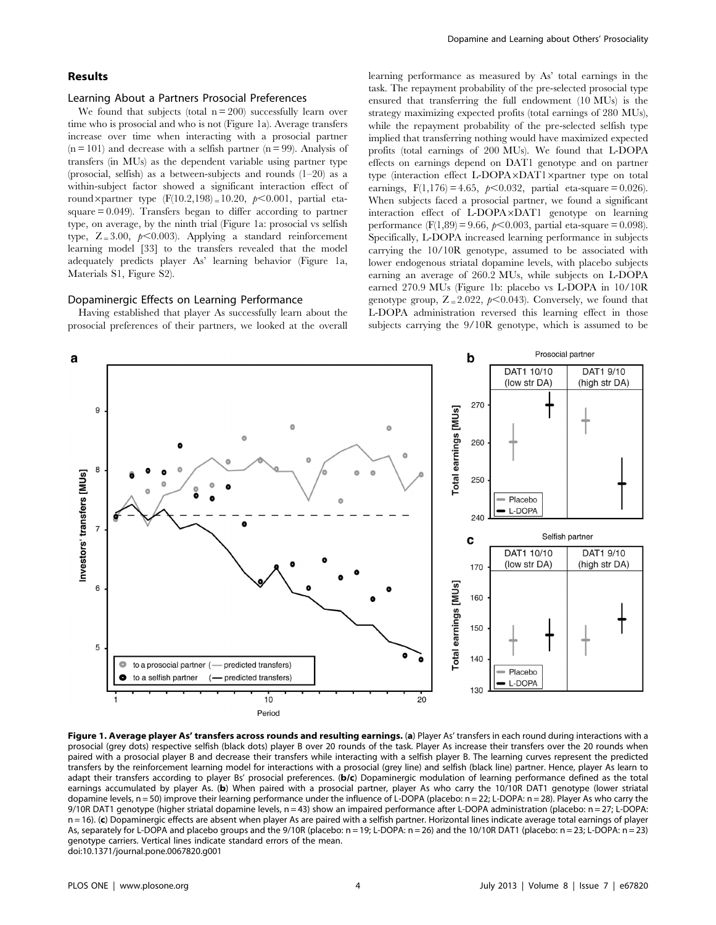## Results

## Learning About a Partners Prosocial Preferences

We found that subjects (total  $n = 200$ ) successfully learn over time who is prosocial and who is not (Figure 1a). Average transfers increase over time when interacting with a prosocial partner  $(n = 101)$  and decrease with a selfish partner  $(n = 99)$ . Analysis of transfers (in MUs) as the dependent variable using partner type (prosocial, selfish) as a between-subjects and rounds (1–20) as a within-subject factor showed a significant interaction effect of round×partner type  $(F(10.2,198) = 10.20, p<0.001$ , partial etasquare = 0.049). Transfers began to differ according to partner type, on average, by the ninth trial (Figure 1a: prosocial vs selfish type,  $Z = 3.00$ ,  $p < 0.003$ ). Applying a standard reinforcement learning model [33] to the transfers revealed that the model adequately predicts player As' learning behavior (Figure 1a, Materials S1, Figure S2).

## Dopaminergic Effects on Learning Performance

Having established that player As successfully learn about the prosocial preferences of their partners, we looked at the overall learning performance as measured by As' total earnings in the task. The repayment probability of the pre-selected prosocial type ensured that transferring the full endowment (10 MUs) is the strategy maximizing expected profits (total earnings of 280 MUs), while the repayment probability of the pre-selected selfish type implied that transferring nothing would have maximized expected profits (total earnings of 200 MUs). We found that L-DOPA effects on earnings depend on DAT1 genotype and on partner type (interaction effect L-DOPA×DAT1×partner type on total earnings,  $F(1,176) = 4.65$ ,  $p < 0.032$ , partial eta-square = 0.026). When subjects faced a prosocial partner, we found a significant interaction effect of L-DOPA×DAT1 genotype on learning performance (F(1,89) = 9.66,  $p$ <0.003, partial eta-square = 0.098). Specifically, L-DOPA increased learning performance in subjects carrying the 10/10R genotype, assumed to be associated with lower endogenous striatal dopamine levels, with placebo subjects earning an average of 260.2 MUs, while subjects on L-DOPA earned 270.9 MUs (Figure 1b: placebo vs L-DOPA in 10/10R genotype group,  $Z = 2.022$ ,  $p < 0.043$ ). Conversely, we found that L-DOPA administration reversed this learning effect in those subjects carrying the 9/10R genotype, which is assumed to be



Figure 1. Average player As' transfers across rounds and resulting earnings. (a) Player As' transfers in each round during interactions with a prosocial (grey dots) respective selfish (black dots) player B over 20 rounds of the task. Player As increase their transfers over the 20 rounds when paired with a prosocial player B and decrease their transfers while interacting with a selfish player B. The learning curves represent the predicted transfers by the reinforcement learning model for interactions with a prosocial (grey line) and selfish (black line) partner. Hence, player As learn to adapt their transfers according to player Bs' prosocial preferences. (b/c) Dopaminergic modulation of learning performance defined as the total earnings accumulated by player As. (b) When paired with a prosocial partner, player As who carry the 10/10R DAT1 genotype (lower striatal dopamine levels, n = 50) improve their learning performance under the influence of L-DOPA (placebo: n = 22; L-DOPA: n = 28). Player As who carry the 9/10R DAT1 genotype (higher striatal dopamine levels, n = 43) show an impaired performance after L-DOPA administration (placebo: n = 27; L-DOPA:  $n = 16$ ). (c) Dopaminergic effects are absent when player As are paired with a selfish partner. Horizontal lines indicate average total earnings of player As, separately for L-DOPA and placebo groups and the 9/10R (placebo: n = 19; L-DOPA: n = 26) and the 10/10R DAT1 (placebo: n = 23; L-DOPA: n = 23) genotype carriers. Vertical lines indicate standard errors of the mean. doi:10.1371/journal.pone.0067820.g001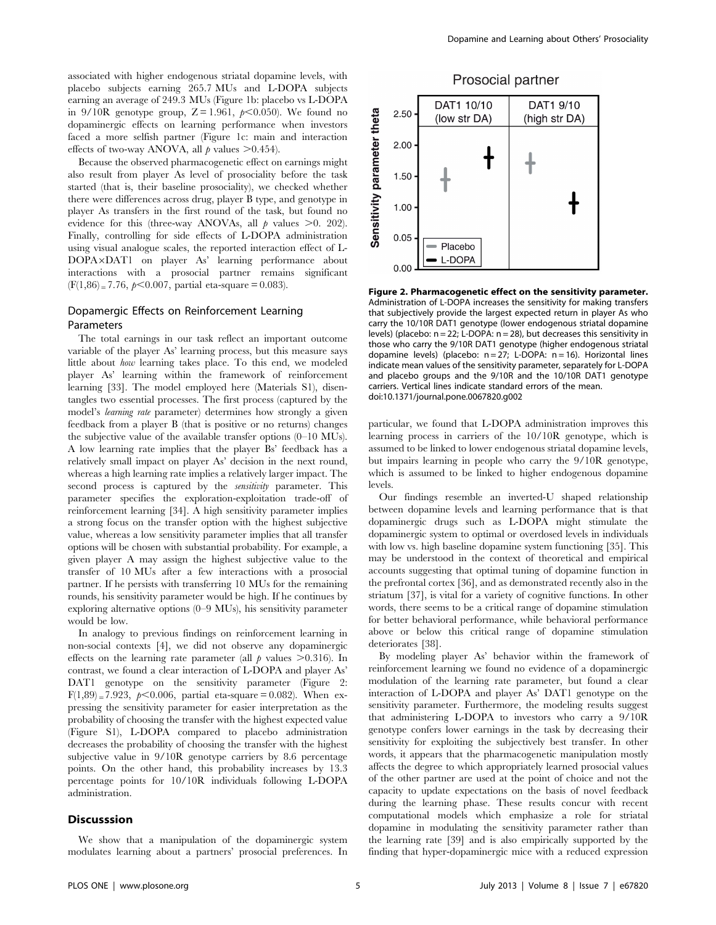associated with higher endogenous striatal dopamine levels, with placebo subjects earning 265.7 MUs and L-DOPA subjects earning an average of 249.3 MUs (Figure 1b: placebo vs L-DOPA in 9/10R genotype group,  $Z = 1.961$ ,  $p \le 0.050$ ). We found no dopaminergic effects on learning performance when investors faced a more selfish partner (Figure 1c: main and interaction effects of two-way ANOVA, all  $\rho$  values  $> 0.454$ .

Because the observed pharmacogenetic effect on earnings might also result from player As level of prosociality before the task started (that is, their baseline prosociality), we checked whether there were differences across drug, player B type, and genotype in player As transfers in the first round of the task, but found no evidence for this (three-way ANOVAs, all  $p$  values  $\geq 0$ . 202). Finally, controlling for side effects of L-DOPA administration using visual analogue scales, the reported interaction effect of L-DOPA×DAT1 on player As' learning performance about interactions with a prosocial partner remains significant  $(F(1,86) = 7.76, p < 0.007,$  partial eta-square = 0.083).

## Dopamergic Effects on Reinforcement Learning Parameters

The total earnings in our task reflect an important outcome variable of the player As' learning process, but this measure says little about how learning takes place. To this end, we modeled player As' learning within the framework of reinforcement learning [33]. The model employed here (Materials S1), disentangles two essential processes. The first process (captured by the model's learning rate parameter) determines how strongly a given feedback from a player B (that is positive or no returns) changes the subjective value of the available transfer options (0–10 MUs). A low learning rate implies that the player Bs' feedback has a relatively small impact on player As' decision in the next round, whereas a high learning rate implies a relatively larger impact. The second process is captured by the *sensitivity* parameter. This parameter specifies the exploration-exploitation trade-off of reinforcement learning [34]. A high sensitivity parameter implies a strong focus on the transfer option with the highest subjective value, whereas a low sensitivity parameter implies that all transfer options will be chosen with substantial probability. For example, a given player A may assign the highest subjective value to the transfer of 10 MUs after a few interactions with a prosocial partner. If he persists with transferring 10 MUs for the remaining rounds, his sensitivity parameter would be high. If he continues by exploring alternative options (0–9 MUs), his sensitivity parameter would be low.

In analogy to previous findings on reinforcement learning in non-social contexts [4], we did not observe any dopaminergic effects on the learning rate parameter (all  $p$  values  $>0.316$ ). In contrast, we found a clear interaction of L-DOPA and player As' DAT1 genotype on the sensitivity parameter (Figure 2:  $F(1,89) = 7.923, p < 0.006$ , partial eta-square = 0.082). When expressing the sensitivity parameter for easier interpretation as the probability of choosing the transfer with the highest expected value (Figure S1), L-DOPA compared to placebo administration decreases the probability of choosing the transfer with the highest subjective value in 9/10R genotype carriers by 8.6 percentage points. On the other hand, this probability increases by 13.3 percentage points for 10/10R individuals following L-DOPA administration.

#### **Discusssion**

Dopamine and Learning about Others' Prosociality



Figure 2. Pharmacogenetic effect on the sensitivity parameter. Administration of L-DOPA increases the sensitivity for making transfers that subjectively provide the largest expected return in player As who carry the 10/10R DAT1 genotype (lower endogenous striatal dopamine levels) (placebo:  $n = 22$ ; L-DOPA:  $n = 28$ ), but decreases this sensitivity in those who carry the 9/10R DAT1 genotype (higher endogenous striatal dopamine levels) (placebo:  $n = 27$ ; L-DOPA:  $n = 16$ ). Horizontal lines indicate mean values of the sensitivity parameter, separately for L-DOPA and placebo groups and the 9/10R and the 10/10R DAT1 genotype carriers. Vertical lines indicate standard errors of the mean. doi:10.1371/journal.pone.0067820.g002

particular, we found that L-DOPA administration improves this learning process in carriers of the 10/10R genotype, which is assumed to be linked to lower endogenous striatal dopamine levels, but impairs learning in people who carry the 9/10R genotype, which is assumed to be linked to higher endogenous dopamine levels.

Our findings resemble an inverted-U shaped relationship between dopamine levels and learning performance that is that dopaminergic drugs such as L-DOPA might stimulate the dopaminergic system to optimal or overdosed levels in individuals with low vs. high baseline dopamine system functioning [35]. This may be understood in the context of theoretical and empirical accounts suggesting that optimal tuning of dopamine function in the prefrontal cortex [36], and as demonstrated recently also in the striatum [37], is vital for a variety of cognitive functions. In other words, there seems to be a critical range of dopamine stimulation for better behavioral performance, while behavioral performance above or below this critical range of dopamine stimulation deteriorates [38].

By modeling player As' behavior within the framework of reinforcement learning we found no evidence of a dopaminergic modulation of the learning rate parameter, but found a clear interaction of L-DOPA and player As' DAT1 genotype on the sensitivity parameter. Furthermore, the modeling results suggest that administering L-DOPA to investors who carry a 9/10R genotype confers lower earnings in the task by decreasing their sensitivity for exploiting the subjectively best transfer. In other words, it appears that the pharmacogenetic manipulation mostly affects the degree to which appropriately learned prosocial values of the other partner are used at the point of choice and not the capacity to update expectations on the basis of novel feedback during the learning phase. These results concur with recent computational models which emphasize a role for striatal dopamine in modulating the sensitivity parameter rather than the learning rate [39] and is also empirically supported by the finding that hyper-dopaminergic mice with a reduced expression

We show that a manipulation of the dopaminergic system modulates learning about a partners' prosocial preferences. In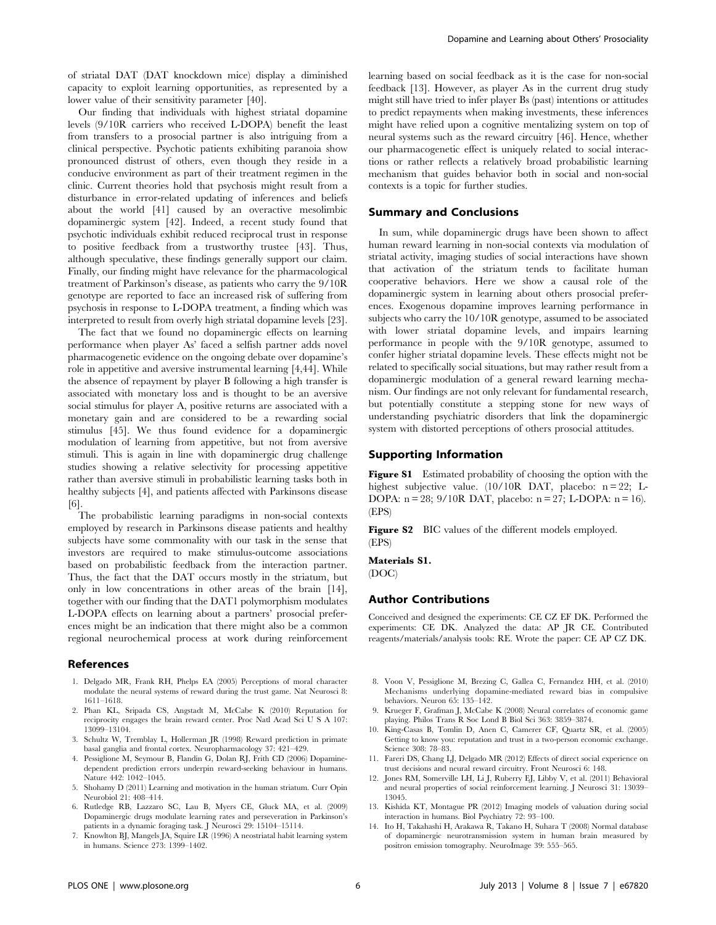of striatal DAT (DAT knockdown mice) display a diminished capacity to exploit learning opportunities, as represented by a lower value of their sensitivity parameter [40].

Our finding that individuals with highest striatal dopamine levels (9/10R carriers who received L-DOPA) benefit the least from transfers to a prosocial partner is also intriguing from a clinical perspective. Psychotic patients exhibiting paranoia show pronounced distrust of others, even though they reside in a conducive environment as part of their treatment regimen in the clinic. Current theories hold that psychosis might result from a disturbance in error-related updating of inferences and beliefs about the world [41] caused by an overactive mesolimbic dopaminergic system [42]. Indeed, a recent study found that psychotic individuals exhibit reduced reciprocal trust in response to positive feedback from a trustworthy trustee [43]. Thus, although speculative, these findings generally support our claim. Finally, our finding might have relevance for the pharmacological treatment of Parkinson's disease, as patients who carry the 9/10R genotype are reported to face an increased risk of suffering from psychosis in response to L-DOPA treatment, a finding which was interpreted to result from overly high striatal dopamine levels [23].

The fact that we found no dopaminergic effects on learning performance when player As' faced a selfish partner adds novel pharmacogenetic evidence on the ongoing debate over dopamine's role in appetitive and aversive instrumental learning [4,44]. While the absence of repayment by player B following a high transfer is associated with monetary loss and is thought to be an aversive social stimulus for player A, positive returns are associated with a monetary gain and are considered to be a rewarding social stimulus [45]. We thus found evidence for a dopaminergic modulation of learning from appetitive, but not from aversive stimuli. This is again in line with dopaminergic drug challenge studies showing a relative selectivity for processing appetitive rather than aversive stimuli in probabilistic learning tasks both in healthy subjects [4], and patients affected with Parkinsons disease [6].

The probabilistic learning paradigms in non-social contexts employed by research in Parkinsons disease patients and healthy subjects have some commonality with our task in the sense that investors are required to make stimulus-outcome associations based on probabilistic feedback from the interaction partner. Thus, the fact that the DAT occurs mostly in the striatum, but only in low concentrations in other areas of the brain [14], together with our finding that the DAT1 polymorphism modulates L-DOPA effects on learning about a partners' prosocial preferences might be an indication that there might also be a common regional neurochemical process at work during reinforcement

#### References

- 1. Delgado MR, Frank RH, Phelps EA (2005) Perceptions of moral character modulate the neural systems of reward during the trust game. Nat Neurosci 8: 1611–1618.
- 2. Phan KL, Sripada CS, Angstadt M, McCabe K (2010) Reputation for reciprocity engages the brain reward center. Proc Natl Acad Sci U S A 107: 13099–13104.
- 3. Schultz W, Tremblay L, Hollerman JR (1998) Reward prediction in primate basal ganglia and frontal cortex. Neuropharmacology 37: 421–429.
- 4. Pessiglione M, Seymour B, Flandin G, Dolan RJ, Frith CD (2006) Dopaminedependent prediction errors underpin reward-seeking behaviour in humans. Nature 442: 1042–1045.
- 5. Shohamy D (2011) Learning and motivation in the human striatum. Curr Opin Neurobiol 21: 408–414.
- 6. Rutledge RB, Lazzaro SC, Lau B, Myers CE, Gluck MA, et al. (2009) Dopaminergic drugs modulate learning rates and perseveration in Parkinson's patients in a dynamic foraging task. J Neurosci 29: 15104–15114.
- 7. Knowlton BJ, Mangels JA, Squire LR (1996) A neostriatal habit learning system in humans. Science 273: 1399–1402.

learning based on social feedback as it is the case for non-social feedback [13]. However, as player As in the current drug study might still have tried to infer player Bs (past) intentions or attitudes to predict repayments when making investments, these inferences might have relied upon a cognitive mentalizing system on top of neural systems such as the reward circuitry [46]. Hence, whether our pharmacogenetic effect is uniquely related to social interactions or rather reflects a relatively broad probabilistic learning mechanism that guides behavior both in social and non-social contexts is a topic for further studies.

#### Summary and Conclusions

In sum, while dopaminergic drugs have been shown to affect human reward learning in non-social contexts via modulation of striatal activity, imaging studies of social interactions have shown that activation of the striatum tends to facilitate human cooperative behaviors. Here we show a causal role of the dopaminergic system in learning about others prosocial preferences. Exogenous dopamine improves learning performance in subjects who carry the 10/10R genotype, assumed to be associated with lower striatal dopamine levels, and impairs learning performance in people with the 9/10R genotype, assumed to confer higher striatal dopamine levels. These effects might not be related to specifically social situations, but may rather result from a dopaminergic modulation of a general reward learning mechanism. Our findings are not only relevant for fundamental research, but potentially constitute a stepping stone for new ways of understanding psychiatric disorders that link the dopaminergic system with distorted perceptions of others prosocial attitudes.

## Supporting Information

Figure S1 Estimated probability of choosing the option with the highest subjective value. (10/10R DAT, placebo: n = 22; L-DOPA: n = 28; 9/10R DAT, placebo: n = 27; L-DOPA: n = 16). (EPS)

Figure S2 BIC values of the different models employed. (EPS)

#### Materials S1.

(DOC)

## Author Contributions

Conceived and designed the experiments: CE CZ EF DK. Performed the experiments: CE DK. Analyzed the data: AP JR CE. Contributed reagents/materials/analysis tools: RE. Wrote the paper: CE AP CZ DK.

- 8. Voon V, Pessiglione M, Brezing C, Gallea C, Fernandez HH, et al. (2010) Mechanisms underlying dopamine-mediated reward bias in compulsive behaviors. Neuron 65: 135–142.
- 9. Krueger F, Grafman J, McCabe K (2008) Neural correlates of economic game playing. Philos Trans R Soc Lond B Biol Sci 363: 3859–3874.
- 10. King-Casas B, Tomlin D, Anen C, Camerer CF, Quartz SR, et al. (2005) Getting to know you: reputation and trust in a two-person economic exchange. Science 308: 78–83.
- 11. Fareri DS, Chang LJ, Delgado MR (2012) Effects of direct social experience on trust decisions and neural reward circuitry. Front Neurosci 6: 148.
- 12. Jones RM, Somerville LH, Li J, Ruberry EJ, Libby V, et al. (2011) Behavioral and neural properties of social reinforcement learning. J Neurosci 31: 13039– 13045.
- 13. Kishida KT, Montague PR (2012) Imaging models of valuation during social interaction in humans. Biol Psychiatry 72: 93–100.
- 14. Ito H, Takahashi H, Arakawa R, Takano H, Suhara T (2008) Normal database of dopaminergic neurotransmission system in human brain measured by positron emission tomography. NeuroImage 39: 555–565.